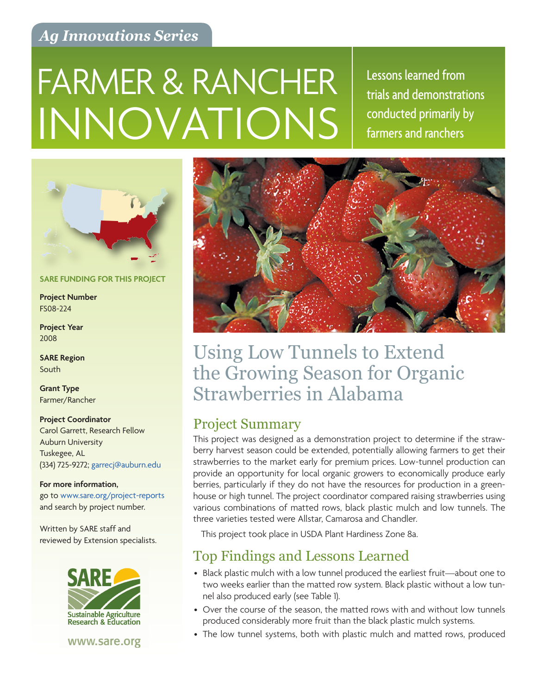## *Ag Innovations Series*

# INNOVATIONS FARMER & RANCHER Essons learned from

trials and demonstrations conducted primarily by farmers and ranchers



#### **SARE FUNDING FOR THIS PROJECT**

**Project Number** FS08-224

**Project Year** 2008

**SARE Region** South

**Grant Type** Farmer/Rancher

**Project Coordinator** Carol Garrett, Research Fellow Auburn University Tuskegee, AL

(334) 725-9272; [garrecj@auburn.edu](mailto:garrecj%40auburn.edu?subject=)

**For more information,**  go to [www.sare.org/project-reports](http://www.sare.org/project-reports) and search by project number.

Written by SARE staff and reviewed by Extension specialists.



www.sare.org



## Using Low Tunnels to Extend the Growing Season for Organic Strawberries in Alabama

## Project Summary

This project was designed as a demonstration project to determine if the strawberry harvest season could be extended, potentially allowing farmers to get their strawberries to the market early for premium prices. Low-tunnel production can provide an opportunity for local organic growers to economically produce early berries, particularly if they do not have the resources for production in a greenhouse or high tunnel. The project coordinator compared raising strawberries using various combinations of matted rows, black plastic mulch and low tunnels. The three varieties tested were Allstar, Camarosa and Chandler.

This project took place in USDA Plant Hardiness Zone 8a.

## Top Findings and Lessons Learned

- Black plastic mulch with a low tunnel produced the earliest fruit—about one to two weeks earlier than the matted row system. Black plastic without a low tunnel also produced early (see Table 1).
- Over the course of the season, the matted rows with and without low tunnels produced considerably more fruit than the black plastic mulch systems.
- The low tunnel systems, both with plastic mulch and matted rows, produced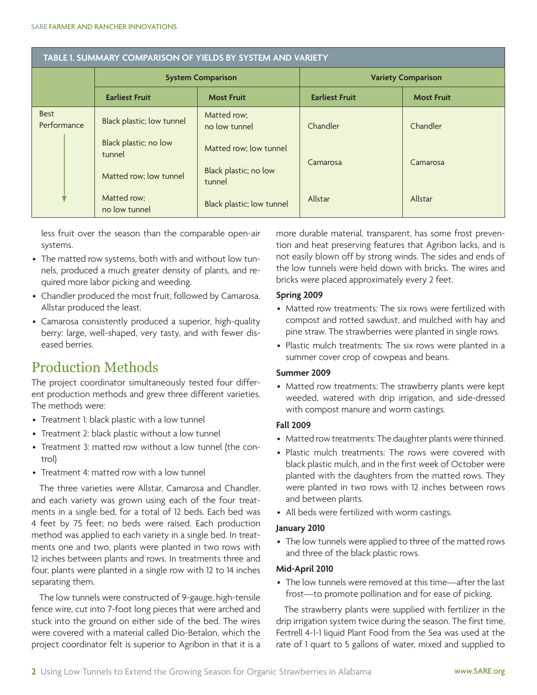| TABLE 1. SUMMARY COMPARISON OF YIELDS BY SYSTEM AND VARIETY |                                 |                                 |                           |                   |
|-------------------------------------------------------------|---------------------------------|---------------------------------|---------------------------|-------------------|
|                                                             | <b>System Comparison</b>        |                                 | <b>Variety Comparison</b> |                   |
|                                                             | <b>Earliest Fruit</b>           | <b>Most Fruit</b>               | <b>Earliest Fruit</b>     | <b>Most Fruit</b> |
| <b>Best</b><br>Performance                                  | Black plastic; low tunnel       | Matted row;<br>no low tunnel    | Chandler                  | Chandler          |
|                                                             | Black plastic; no low<br>tunnel | Matted row; low tunnel          | Camarosa                  |                   |
|                                                             | Matted row; low tunnel          | Black plastic; no low<br>tunnel |                           | Camarosa          |
|                                                             | Matted row;<br>no low tunnel    | Black plastic; low tunnel       | Allstar                   | Allstar           |

less fruit over the season than the comparable open-air systems.

- The matted row systems, both with and without low tunnels, produced a much greater density of plants, and required more labor picking and weeding.
- Chandler produced the most fruit, followed by Camarosa. Allstar produced the least.
- Camarosa consistently produced a superior, high-quality berry: large, well-shaped, very tasty, and with fewer diseased berries.

## Production Methods

The project coordinator simultaneously tested four different production methods and grew three different varieties. The methods were:

- Treatment 1: black plastic with a low tunnel
- Treatment 2: black plastic without a low tunnel
- Treatment 3: matted row without a low tunnel (the control)
- Treatment 4: matted row with a low tunnel

The three varieties were Allstar, Camarosa and Chandler, and each variety was grown using each of the four treatments in a single bed, for a total of 12 beds. Each bed was 4 feet by 75 feet; no beds were raised. Each production method was applied to each variety in a single bed. In treatments one and two, plants were planted in two rows with 12 inches between plants and rows. In treatments three and four, plants were planted in a single row with 12 to 14 inches separating them.

The low tunnels were constructed of 9-gauge, high-tensile fence wire, cut into 7-foot long pieces that were arched and stuck into the ground on either side of the bed. The wires were covered with a material called Dio-Betalon, which the project coordinator felt is superior to Agribon in that it is a

more durable material, transparent, has some frost prevention and heat preserving features that Agribon lacks, and is not easily blown off by strong winds. The sides and ends of the low tunnels were held down with bricks. The wires and bricks were placed approximately every 2 feet.

#### **Spring 2009**

- • Matted row treatments: The six rows were fertilized with compost and rotted sawdust, and mulched with hay and pine straw. The strawberries were planted in single rows.
- Plastic mulch treatments: The six rows were planted in a summer cover crop of cowpeas and beans.

#### **Summer 2009**

• Matted row treatments: The strawberry plants were kept weeded, watered with drip irrigation, and side-dressed with compost manure and worm castings.

#### **Fall 2009**

- Matted row treatments: The daughter plants were thinned.
- Plastic mulch treatments: The rows were covered with black plastic mulch, and in the first week of October were planted with the daughters from the matted rows. They were planted in two rows with 12 inches between rows and between plants.
- All beds were fertilized with worm castings.

#### **January 2010**

• The low tunnels were applied to three of the matted rows and three of the black plastic rows.

#### **Mid-April 2010**

• The low tunnels were removed at this time—after the last frost—to promote pollination and for ease of picking.

The strawberry plants were supplied with fertilizer in the drip irrigation system twice during the season. The first time, Fertrell 4-1-1 liquid Plant Food from the Sea was used at the rate of 1 quart to 5 gallons of water, mixed and supplied to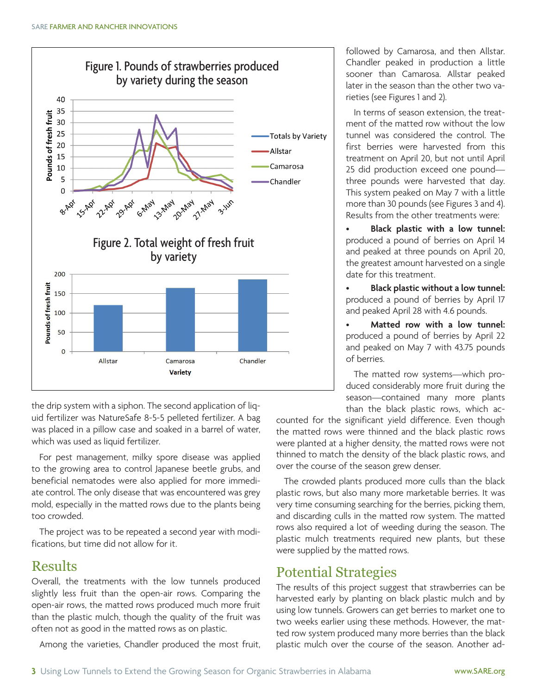

the drip system with a siphon. The second application of liquid fertilizer was NatureSafe 8-5-5 pelleted fertilizer. A bag was placed in a pillow case and soaked in a barrel of water, which was used as liquid fertilizer.

For pest management, milky spore disease was applied to the growing area to control Japanese beetle grubs, and beneficial nematodes were also applied for more immediate control. The only disease that was encountered was grey mold, especially in the matted rows due to the plants being too crowded.

The project was to be repeated a second year with modifications, but time did not allow for it.

## Results

Overall, the treatments with the low tunnels produced slightly less fruit than the open-air rows. Comparing the open-air rows, the matted rows produced much more fruit than the plastic mulch, though the quality of the fruit was often not as good in the matted rows as on plastic.

Among the varieties, Chandler produced the most fruit,

followed by Camarosa, and then Allstar. Chandler peaked in production a little sooner than Camarosa. Allstar peaked later in the season than the other two varieties (see Figures 1 and 2).

In terms of season extension, the treatment of the matted row without the low tunnel was considered the control. The first berries were harvested from this treatment on April 20, but not until April 25 did production exceed one pound three pounds were harvested that day. This system peaked on May 7 with a little more than 30 pounds (see Figures 3 and 4). Results from the other treatments were:

**Black plastic with a low tunnel:** produced a pound of berries on April 14 and peaked at three pounds on April 20, the greatest amount harvested on a single date for this treatment.

**Black plastic without a low tunnel:** produced a pound of berries by April 17 and peaked April 28 with 4.6 pounds.

**Matted row with a low tunnel:** produced a pound of berries by April 22 and peaked on May 7 with 43.75 pounds of berries.

The matted row systems—which produced considerably more fruit during the season—contained many more plants than the black plastic rows, which ac-

counted for the significant yield difference. Even though the matted rows were thinned and the black plastic rows were planted at a higher density, the matted rows were not thinned to match the density of the black plastic rows, and over the course of the season grew denser.

The crowded plants produced more culls than the black plastic rows, but also many more marketable berries. It was very time consuming searching for the berries, picking them, and discarding culls in the matted row system. The matted rows also required a lot of weeding during the season. The plastic mulch treatments required new plants, but these were supplied by the matted rows.

## Potential Strategies

The results of this project suggest that strawberries can be harvested early by planting on black plastic mulch and by using low tunnels. Growers can get berries to market one to two weeks earlier using these methods. However, the matted row system produced many more berries than the black plastic mulch over the course of the season. Another ad